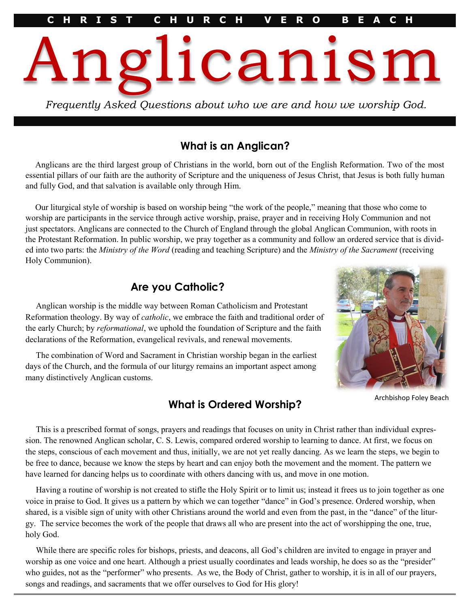Anglicanism

# **What is an Anglican?**

*Frequently Asked Questions about who we are and how we worship God.*

Anglicans are the third largest group of Christians in the world, born out of the English Reformation. Two of the most essential pillars of our faith are the authority of Scripture and the uniqueness of Jesus Christ, that Jesus is both fully human and fully God, and that salvation is available only through Him.

Our liturgical style of worship is based on worship being "the work of the people," meaning that those who come to worship are participants in the service through active worship, praise, prayer and in receiving Holy Communion and not just spectators. Anglicans are connected to the Church of England through the global Anglican Communion, with roots in the Protestant Reformation. In public worship, we pray together as a community and follow an ordered service that is divided into two parts: the *Ministry of the Word* (reading and teaching Scripture) and the *Ministry of the Sacrament* (receiving Holy Communion).

## **Are you Catholic?**



Archbishop Foley Beach

Anglican worship is the middle way between Roman Catholicism and Protestant Reformation theology. By way of *catholic*, we embrace the faith and traditional order of the early Church; by *reformational*, we uphold the foundation of Scripture and the faith declarations of the Reformation, evangelical revivals, and renewal movements.

The combination of Word and Sacrament in Christian worship began in the earliest days of the Church, and the formula of our liturgy remains an important aspect among many distinctively Anglican customs.

# **What is Ordered Worship?**

This is a prescribed format of songs, prayers and readings that focuses on unity in Christ rather than individual expression. The renowned Anglican scholar, C. S. Lewis, compared ordered worship to learning to dance. At first, we focus on the steps, conscious of each movement and thus, initially, we are not yet really dancing. As we learn the steps, we begin to be free to dance, because we know the steps by heart and can enjoy both the movement and the moment. The pattern we have learned for dancing helps us to coordinate with others dancing with us, and move in one motion.

Having a routine of worship is not created to stifle the Holy Spirit or to limit us; instead it frees us to join together as one voice in praise to God. It gives us a pattern by which we can together "dance" in God's presence. Ordered worship, when shared, is a visible sign of unity with other Christians around the world and even from the past, in the "dance" of the liturgy. The service becomes the work of the people that draws all who are present into the act of worshipping the one, true, holy God.

While there are specific roles for bishops, priests, and deacons, all God's children are invited to engage in prayer and worship as one voice and one heart. Although a priest usually coordinates and leads worship, he does so as the "presider" who guides, not as the "performer" who presents. As we, the Body of Christ, gather to worship, it is in all of our prayers, songs and readings, and sacraments that we offer ourselves to God for His glory!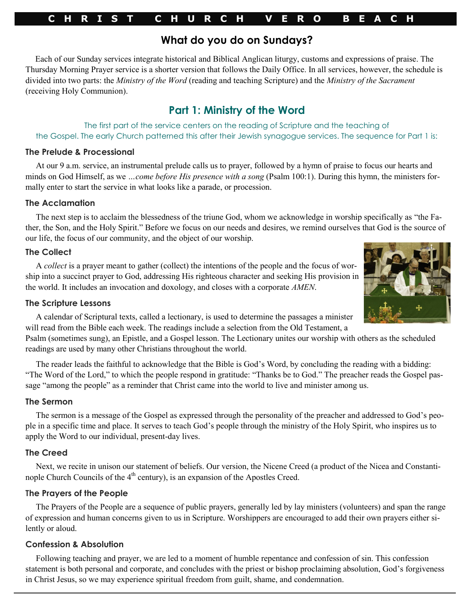## **C H R I S T C H U R C H V E R O B E A C H**

## **What do you do on Sundays?**

Each of our Sunday services integrate historical and Biblical Anglican liturgy, customs and expressions of praise. The Thursday Morning Prayer service is a shorter version that follows the Daily Office. In all services, however, the schedule is divided into two parts: the *Ministry of the Word* (reading and teaching Scripture) and the *Ministry of the Sacrament* (receiving Holy Communion).

# **Part 1: Ministry of the Word**

The first part of the service centers on the reading of Scripture and the teaching of the Gospel. The early Church patterned this after their Jewish synagogue services. The sequence for Part 1 is:

#### **The Prelude & Processional**

At our 9 a.m. service, an instrumental prelude calls us to prayer, followed by a hymn of praise to focus our hearts and minds on God Himself, as we *...come before His presence with a song* (Psalm 100:1). During this hymn, the ministers formally enter to start the service in what looks like a parade, or procession.

## **The Acclamation**

The next step is to acclaim the blessedness of the triune God, whom we acknowledge in worship specifically as "the Father, the Son, and the Holy Spirit." Before we focus on our needs and desires, we remind ourselves that God is the source of our life, the focus of our community, and the object of our worship.

## **The Collect**

A *collect* is a prayer meant to gather (collect) the intentions of the people and the focus of worship into a succinct prayer to God, addressing His righteous character and seeking His provision in the world. It includes an invocation and doxology, and closes with a corporate *AMEN*.

## **The Scripture Lessons**



A calendar of Scriptural texts, called a lectionary, is used to determine the passages a minister will read from the Bible each week. The readings include a selection from the Old Testament, a

Psalm (sometimes sung), an Epistle, and a Gospel lesson. The Lectionary unites our worship with others as the scheduled readings are used by many other Christians throughout the world.

The reader leads the faithful to acknowledge that the Bible is God's Word, by concluding the reading with a bidding: "The Word of the Lord," to which the people respond in gratitude: "Thanks be to God." The preacher reads the Gospel passage "among the people" as a reminder that Christ came into the world to live and minister among us.

## **The Sermon**

The sermon is a message of the Gospel as expressed through the personality of the preacher and addressed to God's people in a specific time and place. It serves to teach God's people through the ministry of the Holy Spirit, who inspires us to apply the Word to our individual, present-day lives.

## **The Creed**

Next, we recite in unison our statement of beliefs. Our version, the Nicene Creed (a product of the Nicea and Constantinople Church Councils of the  $4<sup>th</sup>$  century), is an expansion of the Apostles Creed.

## **The Prayers of the People**

The Prayers of the People are a sequence of public prayers, generally led by lay ministers (volunteers) and span the range of expression and human concerns given to us in Scripture. Worshippers are encouraged to add their own prayers either silently or aloud.

## **Confession & Absolution**

Following teaching and prayer, we are led to a moment of humble repentance and confession of sin. This confession statement is both personal and corporate, and concludes with the priest or bishop proclaiming absolution, God's forgiveness in Christ Jesus, so we may experience spiritual freedom from guilt, shame, and condemnation.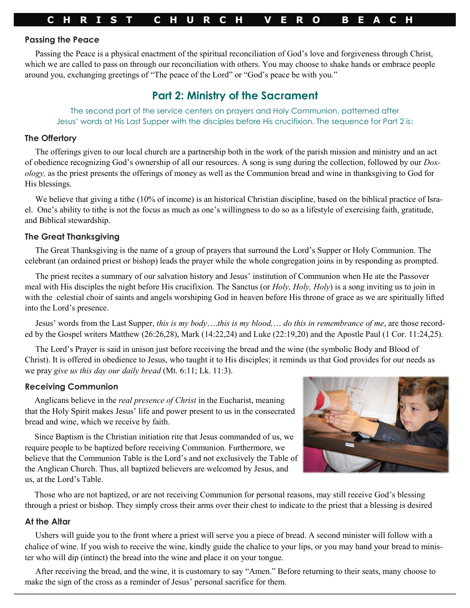#### **Passing the Peace**

Passing the Peace is a physical enactment of the spiritual reconciliation of God's love and forgiveness through Christ, which we are called to pass on through our reconciliation with others. You may choose to shake hands or embrace people around you, exchanging greetings of "The peace of the Lord" or "God's peace be with you."

# **Part 2: Ministry of the Sacrament**

The second part of the service centers on prayers and Holy Communion, patterned after Jesus' words at His Last Supper with the disciples before His crucifixion. The sequence for Part 2 is:

### **The Offertory**

The offerings given to our local church are a partnership both in the work of the parish mission and ministry and an act of obedience recognizing God's ownership of all our resources. A song is sung during the collection, followed by our *Doxology,* as the priest presents the offerings of money as well as the Communion bread and wine in thanksgiving to God for His blessings.

We believe that giving a tithe (10% of income) is an historical Christian discipline, based on the biblical practice of Israel. One's ability to tithe is not the focus as much as one's willingness to do so as a lifestyle of exercising faith, gratitude, and Biblical stewardship.

## **The Great Thanksgiving**

The Great Thanksgiving is the name of a group of prayers that surround the Lord's Supper or Holy Communion. The celebrant (an ordained priest or bishop) leads the prayer while the whole congregation joins in by responding as prompted.

The priest recites a summary of our salvation history and Jesus' institution of Communion when He ate the Passover meal with His disciples the night before His crucifixion. The Sanctus (or *Holy, Holy, Holy*) is a song inviting us to join in with the celestial choir of saints and angels worshiping God in heaven before His throne of grace as we are spiritually lifted into the Lord's presence.

Jesus' words from the Last Supper, *this is my body*….*this is my blood,*… *do this in remembrance of me*, are those recorded by the Gospel writers Matthew (26:26,28), Mark (14:22,24) and Luke (22:19,20) and the Apostle Paul (1 Cor. 11:24,25).

The Lord's Prayer is said in unison just before receiving the bread and the wine (the symbolic Body and Blood of Christ). It is offered in obedience to Jesus, who taught it to His disciples; it reminds us that God provides for our needs as we pray *give us this day our daily bread* (Mt. 6:11; Lk. 11:3).

## **Receiving Communion**

Anglicans believe in the *real presence of Christ* in the Eucharist, meaning that the Holy Spirit makes Jesus' life and power present to us in the consecrated bread and wine, which we receive by faith.

Since Baptism is the Christian initiation rite that Jesus commanded of us, we require people to be baptized before receiving Communion. Furthermore, we believe that the Communion Table is the Lord's and not exclusively the Table of the Anglican Church. Thus, all baptized believers are welcomed by Jesus, and us, at the Lord's Table.



Those who are not baptized, or are not receiving Communion for personal reasons, may still receive God's blessing through a priest or bishop. They simply cross their arms over their chest to indicate to the priest that a blessing is desired

#### **At the Altar**

Ushers will guide you to the front where a priest will serve you a piece of bread. A second minister will follow with a chalice of wine. If you wish to receive the wine, kindly guide the chalice to your lips, or you may hand your bread to minister who will dip (intinct) the bread into the wine and place it on your tongue.

After receiving the bread, and the wine, it is customary to say "Amen." Before returning to their seats, many choose to make the sign of the cross as a reminder of Jesus' personal sacrifice for them.